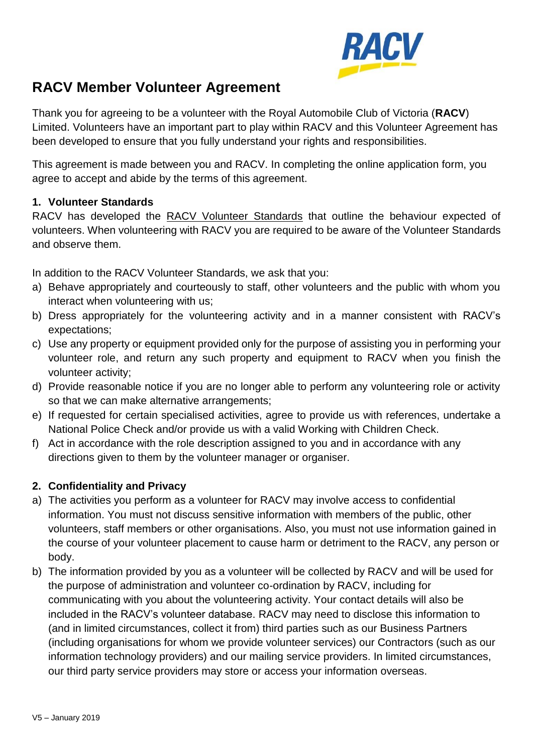

# **RACV Member Volunteer Agreement**

Thank you for agreeing to be a volunteer with the Royal Automobile Club of Victoria (**RACV**) Limited. Volunteers have an important part to play within RACV and this Volunteer Agreement has been developed to ensure that you fully understand your rights and responsibilities.

This agreement is made between you and RACV. In completing the online application form, you agree to accept and abide by the terms of this agreement.

#### **1. Volunteer Standards**

RACV has developed the RACV Volunteer Standards that outline the behaviour expected of volunteers. When volunteering with RACV you are required to be aware of the Volunteer Standards and observe them.

In addition to the RACV Volunteer Standards, we ask that you:

- a) Behave appropriately and courteously to staff, other volunteers and the public with whom you interact when volunteering with us;
- b) Dress appropriately for the volunteering activity and in a manner consistent with RACV's expectations;
- c) Use any property or equipment provided only for the purpose of assisting you in performing your volunteer role, and return any such property and equipment to RACV when you finish the volunteer activity;
- d) Provide reasonable notice if you are no longer able to perform any volunteering role or activity so that we can make alternative arrangements;
- e) If requested for certain specialised activities, agree to provide us with references, undertake a National Police Check and/or provide us with a valid Working with Children Check.
- f) Act in accordance with the role description assigned to you and in accordance with any directions given to them by the volunteer manager or organiser.

#### **2. Confidentiality and Privacy**

- a) The activities you perform as a volunteer for RACV may involve access to confidential information. You must not discuss sensitive information with members of the public, other volunteers, staff members or other organisations. Also, you must not use information gained in the course of your volunteer placement to cause harm or detriment to the RACV, any person or body.
- b) The information provided by you as a volunteer will be collected by RACV and will be used for the purpose of administration and volunteer co-ordination by RACV, including for communicating with you about the volunteering activity. Your contact details will also be included in the RACV's volunteer database. RACV may need to disclose this information to (and in limited circumstances, collect it from) third parties such as our Business Partners (including organisations for whom we provide volunteer services) our Contractors (such as our information technology providers) and our mailing service providers. In limited circumstances, our third party service providers may store or access your information overseas.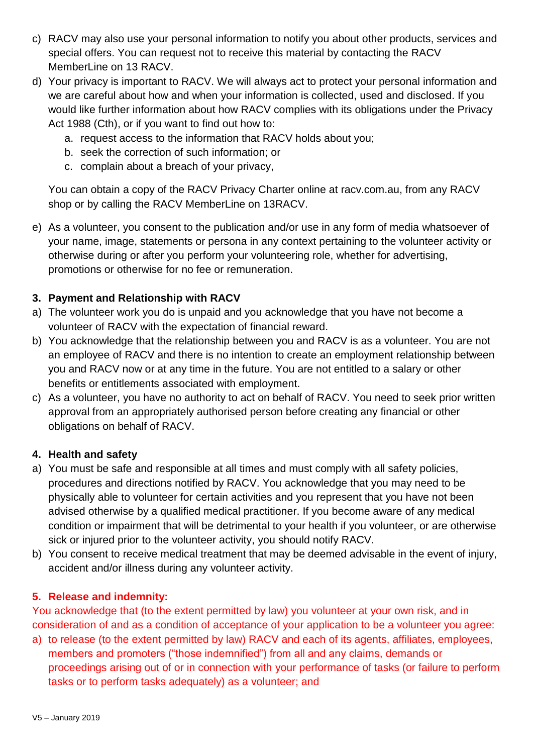- c) RACV may also use your personal information to notify you about other products, services and special offers. You can request not to receive this material by contacting the RACV MemberLine on 13 RACV.
- d) Your privacy is important to RACV. We will always act to protect your personal information and we are careful about how and when your information is collected, used and disclosed. If you would like further information about how RACV complies with its obligations under the Privacy Act 1988 (Cth), or if you want to find out how to:
	- a. request access to the information that RACV holds about you;
	- b. seek the correction of such information; or
	- c. complain about a breach of your privacy,

You can obtain a copy of the RACV Privacy Charter online at racv.com.au, from any RACV shop or by calling the RACV MemberLine on 13RACV.

e) As a volunteer, you consent to the publication and/or use in any form of media whatsoever of your name, image, statements or persona in any context pertaining to the volunteer activity or otherwise during or after you perform your volunteering role, whether for advertising, promotions or otherwise for no fee or remuneration.

## **3. Payment and Relationship with RACV**

- a) The volunteer work you do is unpaid and you acknowledge that you have not become a volunteer of RACV with the expectation of financial reward.
- b) You acknowledge that the relationship between you and RACV is as a volunteer. You are not an employee of RACV and there is no intention to create an employment relationship between you and RACV now or at any time in the future. You are not entitled to a salary or other benefits or entitlements associated with employment.
- c) As a volunteer, you have no authority to act on behalf of RACV. You need to seek prior written approval from an appropriately authorised person before creating any financial or other obligations on behalf of RACV.

#### **4. Health and safety**

- a) You must be safe and responsible at all times and must comply with all safety policies, procedures and directions notified by RACV. You acknowledge that you may need to be physically able to volunteer for certain activities and you represent that you have not been advised otherwise by a qualified medical practitioner. If you become aware of any medical condition or impairment that will be detrimental to your health if you volunteer, or are otherwise sick or injured prior to the volunteer activity, you should notify RACV.
- b) You consent to receive medical treatment that may be deemed advisable in the event of injury, accident and/or illness during any volunteer activity.

## **5. Release and indemnity:**

You acknowledge that (to the extent permitted by law) you volunteer at your own risk, and in consideration of and as a condition of acceptance of your application to be a volunteer you agree:

a) to release (to the extent permitted by law) RACV and each of its agents, affiliates, employees, members and promoters ("those indemnified") from all and any claims, demands or proceedings arising out of or in connection with your performance of tasks (or failure to perform tasks or to perform tasks adequately) as a volunteer; and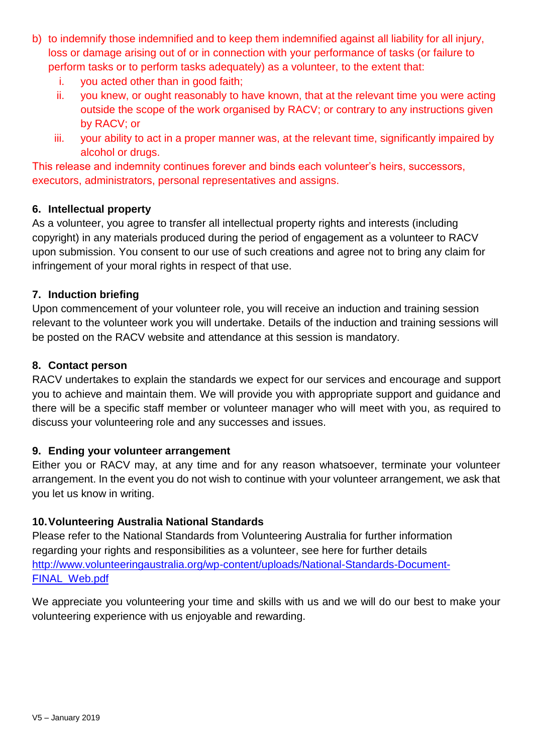- b) to indemnify those indemnified and to keep them indemnified against all liability for all injury, loss or damage arising out of or in connection with your performance of tasks (or failure to perform tasks or to perform tasks adequately) as a volunteer, to the extent that:
	- i. you acted other than in good faith;
	- ii. you knew, or ought reasonably to have known, that at the relevant time you were acting outside the scope of the work organised by RACV; or contrary to any instructions given by RACV; or
	- iii. your ability to act in a proper manner was, at the relevant time, significantly impaired by alcohol or drugs.

This release and indemnity continues forever and binds each volunteer's heirs, successors, executors, administrators, personal representatives and assigns.

#### **6. Intellectual property**

As a volunteer, you agree to transfer all intellectual property rights and interests (including copyright) in any materials produced during the period of engagement as a volunteer to RACV upon submission. You consent to our use of such creations and agree not to bring any claim for infringement of your moral rights in respect of that use.

#### **7. Induction briefing**

Upon commencement of your volunteer role, you will receive an induction and training session relevant to the volunteer work you will undertake. Details of the induction and training sessions will be posted on the RACV website and attendance at this session is mandatory.

#### **8. Contact person**

RACV undertakes to explain the standards we expect for our services and encourage and support you to achieve and maintain them. We will provide you with appropriate support and guidance and there will be a specific staff member or volunteer manager who will meet with you, as required to discuss your volunteering role and any successes and issues.

#### **9. Ending your volunteer arrangement**

Either you or RACV may, at any time and for any reason whatsoever, terminate your volunteer arrangement. In the event you do not wish to continue with your volunteer arrangement, we ask that you let us know in writing.

#### **10.Volunteering Australia National Standards**

Please refer to the National Standards from Volunteering Australia for further information regarding your rights and responsibilities as a volunteer, see here for further details [http://www.volunteeringaustralia.org/wp-content/uploads/National-Standards-Document-](http://www.volunteeringaustralia.org/wp-content/uploads/National-Standards-Document-FINAL_Web.pdf)[FINAL\\_Web.pdf](http://www.volunteeringaustralia.org/wp-content/uploads/National-Standards-Document-FINAL_Web.pdf)

We appreciate you volunteering your time and skills with us and we will do our best to make your volunteering experience with us enjoyable and rewarding.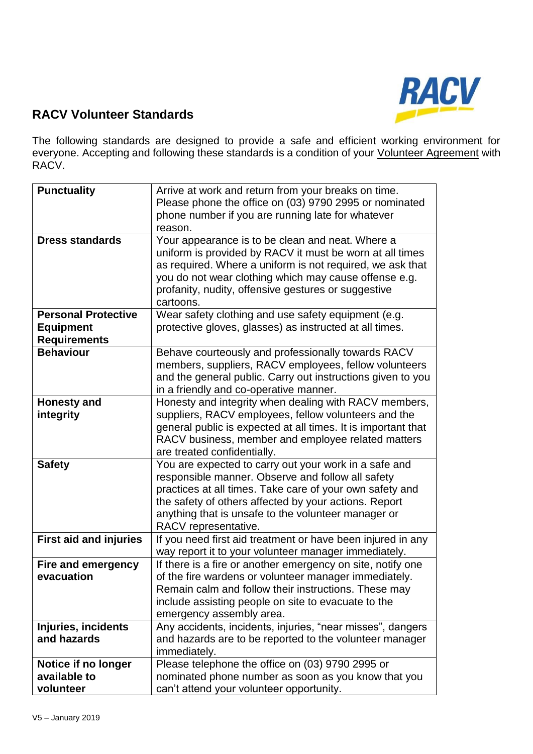

# **RACV Volunteer Standards**

The following standards are designed to provide a safe and efficient working environment for everyone. Accepting and following these standards is a condition of your Volunteer Agreement with RACV.

| <b>Punctuality</b>            | Arrive at work and return from your breaks on time.           |
|-------------------------------|---------------------------------------------------------------|
|                               | Please phone the office on (03) 9790 2995 or nominated        |
|                               | phone number if you are running late for whatever             |
|                               | reason.                                                       |
| <b>Dress standards</b>        | Your appearance is to be clean and neat. Where a              |
|                               | uniform is provided by RACV it must be worn at all times      |
|                               | as required. Where a uniform is not required, we ask that     |
|                               | you do not wear clothing which may cause offense e.g.         |
|                               | profanity, nudity, offensive gestures or suggestive           |
|                               | cartoons.                                                     |
| <b>Personal Protective</b>    | Wear safety clothing and use safety equipment (e.g.           |
| <b>Equipment</b>              | protective gloves, glasses) as instructed at all times.       |
|                               |                                                               |
| <b>Requirements</b>           |                                                               |
| <b>Behaviour</b>              | Behave courteously and professionally towards RACV            |
|                               | members, suppliers, RACV employees, fellow volunteers         |
|                               | and the general public. Carry out instructions given to you   |
|                               | in a friendly and co-operative manner.                        |
| <b>Honesty and</b>            | Honesty and integrity when dealing with RACV members,         |
| integrity                     | suppliers, RACV employees, fellow volunteers and the          |
|                               | general public is expected at all times. It is important that |
|                               | RACV business, member and employee related matters            |
|                               | are treated confidentially.                                   |
| <b>Safety</b>                 | You are expected to carry out your work in a safe and         |
|                               | responsible manner. Observe and follow all safety             |
|                               | practices at all times. Take care of your own safety and      |
|                               | the safety of others affected by your actions. Report         |
|                               | anything that is unsafe to the volunteer manager or           |
|                               | RACV representative.                                          |
| <b>First aid and injuries</b> | If you need first aid treatment or have been injured in any   |
|                               | way report it to your volunteer manager immediately.          |
| <b>Fire and emergency</b>     | If there is a fire or another emergency on site, notify one   |
| evacuation                    | of the fire wardens or volunteer manager immediately.         |
|                               | Remain calm and follow their instructions. These may          |
|                               |                                                               |
|                               | include assisting people on site to evacuate to the           |
|                               | emergency assembly area.                                      |
| Injuries, incidents           | Any accidents, incidents, injuries, "near misses", dangers    |
| and hazards                   | and hazards are to be reported to the volunteer manager       |
|                               | immediately.                                                  |
| Notice if no longer           | Please telephone the office on (03) 9790 2995 or              |
| available to                  | nominated phone number as soon as you know that you           |
| volunteer                     | can't attend your volunteer opportunity.                      |